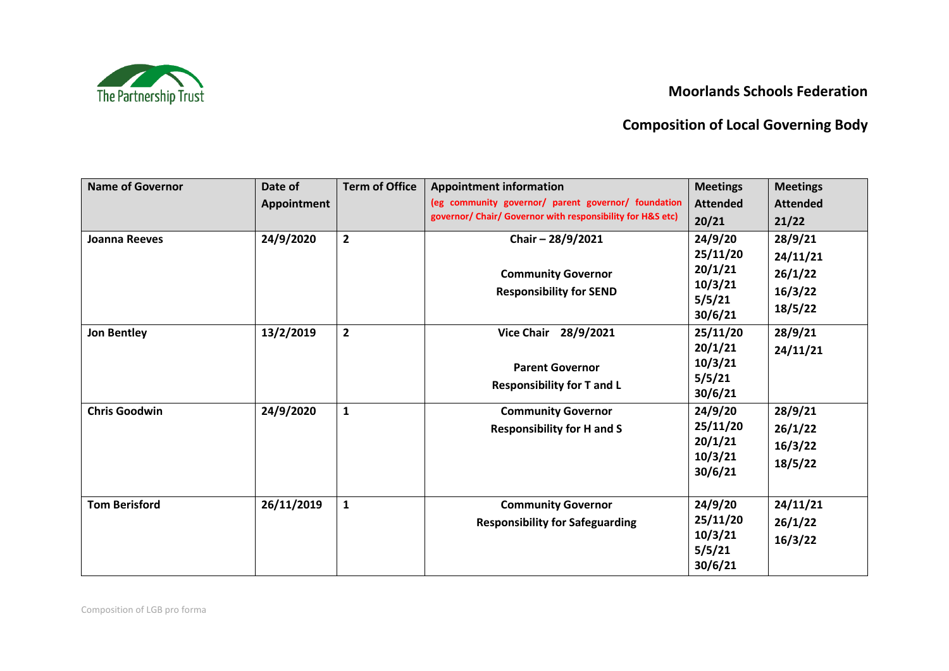## **Moorlands Schools Federation**



## **Composition of Local Governing Body**

| <b>Name of Governor</b> | Date of     | <b>Term of Office</b> | <b>Appointment information</b>                             | <b>Meetings</b> | <b>Meetings</b> |
|-------------------------|-------------|-----------------------|------------------------------------------------------------|-----------------|-----------------|
|                         | Appointment |                       | (eg community governor/ parent governor/ foundation        | <b>Attended</b> | <b>Attended</b> |
|                         |             |                       | governor/ Chair/ Governor with responsibility for H&S etc) | 20/21           | 21/22           |
| <b>Joanna Reeves</b>    | 24/9/2020   | $\overline{2}$        | Chair-28/9/2021                                            | 24/9/20         | 28/9/21         |
|                         |             |                       |                                                            | 25/11/20        | 24/11/21        |
|                         |             |                       | <b>Community Governor</b>                                  | 20/1/21         | 26/1/22         |
|                         |             |                       | <b>Responsibility for SEND</b>                             | 10/3/21         | 16/3/22         |
|                         |             |                       |                                                            | 5/5/21          | 18/5/22         |
|                         |             |                       |                                                            | 30/6/21         |                 |
| <b>Jon Bentley</b>      | 13/2/2019   | $\overline{2}$        | Vice Chair 28/9/2021                                       | 25/11/20        | 28/9/21         |
|                         |             |                       |                                                            | 20/1/21         | 24/11/21        |
|                         |             |                       | <b>Parent Governor</b>                                     | 10/3/21         |                 |
|                         |             |                       | <b>Responsibility for T and L</b>                          | 5/5/21          |                 |
|                         |             |                       |                                                            | 30/6/21         |                 |
| <b>Chris Goodwin</b>    | 24/9/2020   | $\mathbf{1}$          | <b>Community Governor</b>                                  | 24/9/20         | 28/9/21         |
|                         |             |                       | <b>Responsibility for H and S</b>                          | 25/11/20        | 26/1/22         |
|                         |             |                       |                                                            | 20/1/21         | 16/3/22         |
|                         |             |                       |                                                            | 10/3/21         | 18/5/22         |
|                         |             |                       |                                                            | 30/6/21         |                 |
| <b>Tom Berisford</b>    | 26/11/2019  | $\mathbf{1}$          | <b>Community Governor</b>                                  | 24/9/20         | 24/11/21        |
|                         |             |                       | <b>Responsibility for Safeguarding</b>                     | 25/11/20        | 26/1/22         |
|                         |             |                       |                                                            | 10/3/21         | 16/3/22         |
|                         |             |                       |                                                            | 5/5/21          |                 |
|                         |             |                       |                                                            | 30/6/21         |                 |